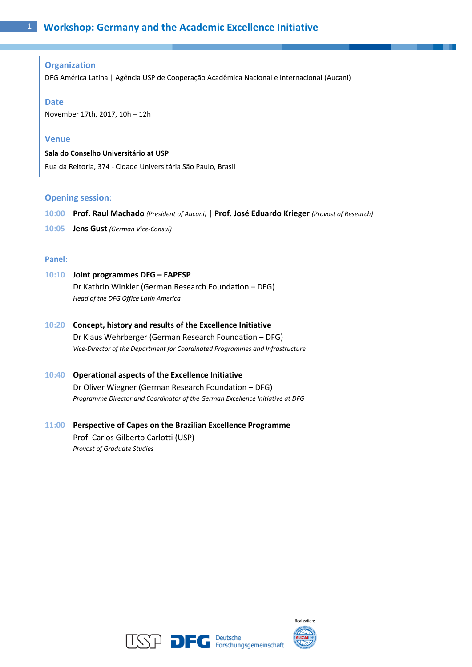## **Organization**

DFG América Latina | Agência USP de Cooperação Acadêmica Nacional e Internacional (Aucani)

#### **Date**

November 17th, 2017, 10h – 12h

#### **Venue**

**Sala do Conselho Universitário at USP**

Rua da Reitoria, 374 - Cidade Universitária São Paulo, Brasil

#### **Opening session**:

- **10:00 Prof. Raul Machado** *(President of Aucani)* **| Prof. José Eduardo Krieger** *(Provost of Research)*
- **10:05 Jens Gust** *(German Vice-Consul)*

#### **Panel**:

# **10:10 Joint programmes DFG – FAPESP**

Dr Kathrin Winkler (German Research Foundation – DFG) *Head of the DFG Office Latin America*

**10:20 Concept, history and results of the Excellence Initiative** Dr Klaus Wehrberger (German Research Foundation – DFG)

*Vice-Director of the Department for Coordinated Programmes and Infrastructure*

## **10:40 Operational aspects of the Excellence Initiative**

Dr Oliver Wiegner (German Research Foundation – DFG) *Programme Director and Coordinator of the German Excellence Initiative at DFG*

# **11:00 Perspective of Capes on the Brazilian Excellence Programme** Prof. Carlos Gilberto Carlotti (USP) *Provost of Graduate Studies*